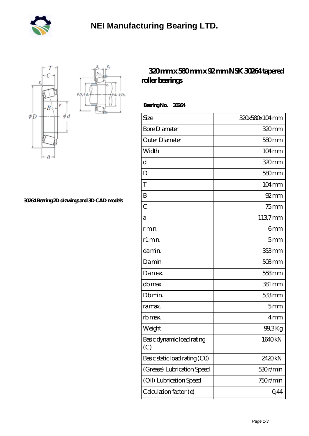



**[30264 Bearing 2D drawings and 3D CAD models](https://mtogr.com/pic-25468.html)**

## **[320 mm x 580 mm x 92 mm NSK 30264 tapered](https://mtogr.com/az-25468-nsk-30264-tapered-roller-bearings.html) [roller bearings](https://mtogr.com/az-25468-nsk-30264-tapered-roller-bearings.html)**

 **Bearing No. 30264**

 $\oint D_h$ φà,

| Size                             | 320x580x104mm       |
|----------------------------------|---------------------|
| <b>Bore Diameter</b>             | 320 <sub>mm</sub>   |
| Outer Diameter                   | 580mm               |
| Width                            | $104 \,\mathrm{mm}$ |
| d                                | 320mm               |
| D                                | $580 \text{mm}$     |
| T                                | $104 \,\mathrm{mm}$ |
| B                                | $92 \text{mm}$      |
| $\overline{C}$                   | $75$ mm             |
| а                                | 1137mm              |
| r min.                           | 6mm                 |
| r1 min.                          | 5mm                 |
| damin.                           | 353 mm              |
| Damin                            | $503$ mm            |
| Damax.                           | 558 <sub>mm</sub>   |
| db max.                          | 381 mm              |
| Db min.                          | 533mm               |
| ra max.                          | 5mm                 |
| rb max.                          | 4mm                 |
| Weight                           | 99,3Kg              |
| Basic dynamic load rating<br>(C) | 1640kN              |
| Basic static load rating (CO)    | 2420kN              |
| (Grease) Lubrication Speed       | 530r/min            |
| (Oil) Lubrication Speed          | 750r/min            |
| Calculation factor (e)           | 0,44                |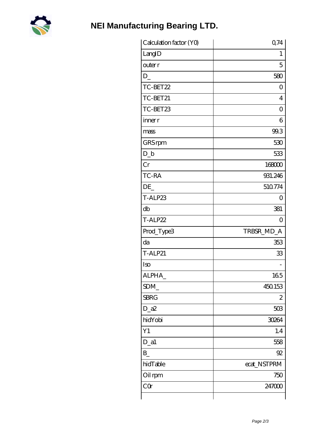

## **NEI Manufacturing Bearing LTD.**

| Calculation factor (YO) | 0,74           |
|-------------------------|----------------|
| LangID                  | 1              |
| outer r                 | 5              |
| D                       | 580            |
| TC-BET22                | $\Omega$       |
| TC-BET21                | 4              |
| TC-BET23                | $\overline{O}$ |
| inner r                 | 6              |
| mass                    | 99.3           |
| GRS rpm                 | 530            |
| $D_b$                   | 533            |
| Cr                      | 168000         |
| TC-RA                   | 931.246        |
| DE                      | 510774         |
| T-ALP23                 | O              |
| db                      | 381            |
| T-ALP22                 | $\overline{0}$ |
| Prod_Type3              | TRBSR_MD_A     |
| da                      | 353            |
| <b>T-ALP21</b>          | 33             |
| Iso                     |                |
| ALPHA                   | 165            |
| SDM                     | 450153         |
| <b>SBRG</b>             | 2              |
| $D_2a2$                 | 503            |
| hidYobi                 | 30264          |
| Y1                      | 1.4            |
| $D_a1$                  | 558            |
| $B_{-}$                 | 92             |
| hidTable                | ecat_NSTPRM    |
| Oil rpm                 | 750            |
| CQ                      | 247000         |
|                         |                |